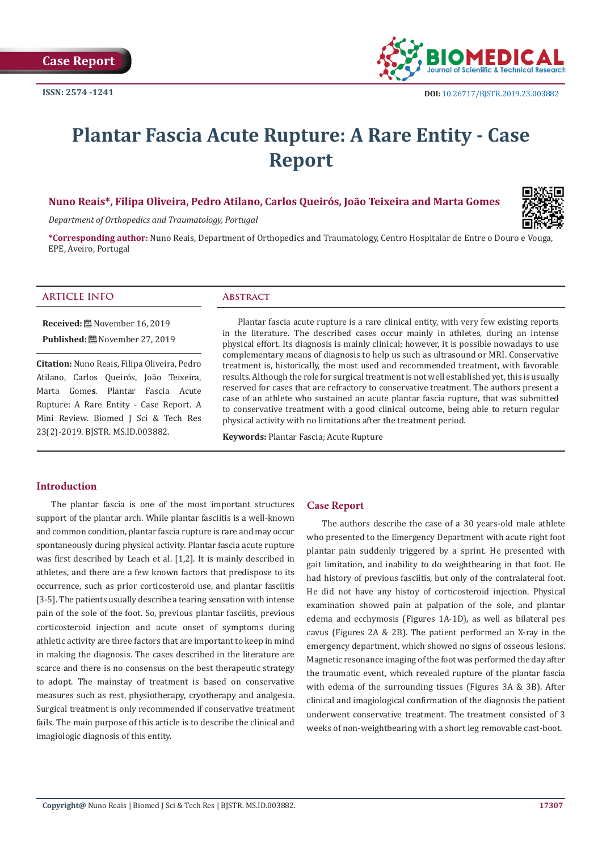

# **Plantar Fascia Acute Rupture: A Rare Entity - Case Report**

# **Nuno Reais\*, Filipa Oliveira, Pedro Atilano, Carlos Queirós, João Teixeira and Marta Gomes**

*Department of Orthopedics and Traumatology, Portugal*

**\*Corresponding author:** Nuno Reais, Department of Orthopedics and Traumatology, Centro Hospitalar de Entre o Douro e Vouga, EPE, Aveiro, Portugal

#### **ARTICLE INFO Abstract**

**Received:** November 16, 2019 **Published:** November 27, 2019

**Citation:** Nuno Reais, Filipa Oliveira, Pedro Atilano, Carlos Queirós, João Teixeira, Marta Gome**s**. Plantar Fascia Acute Rupture: A Rare Entity - Case Report. A Mini Review. Biomed J Sci & Tech Res 23(2)-2019. BJSTR. MS.ID.003882.

Plantar fascia acute rupture is a rare clinical entity, with very few existing reports in the literature. The described cases occur mainly in athletes, during an intense physical effort. Its diagnosis is mainly clinical; however, it is possible nowadays to use complementary means of diagnosis to help us such as ultrasound or MRI. Conservative treatment is, historically, the most used and recommended treatment, with favorable results. Although the role for surgical treatment is not well established yet, this is usually reserved for cases that are refractory to conservative treatment. The authors present a case of an athlete who sustained an acute plantar fascia rupture, that was submitted to conservative treatment with a good clinical outcome, being able to return regular physical activity with no limitations after the treatment period.

**Keywords:** Plantar Fascia; Acute Rupture

#### **Introduction**

The plantar fascia is one of the most important structures support of the plantar arch. While plantar fasciitis is a well-known and common condition, plantar fascia rupture is rare and may occur spontaneously during physical activity. Plantar fascia acute rupture was first described by Leach et al. [1,2]. It is mainly described in athletes, and there are a few known factors that predispose to its occurrence, such as prior corticosteroid use, and plantar fasciitis [3-5]. The patients usually describe a tearing sensation with intense pain of the sole of the foot. So, previous plantar fasciitis, previous corticosteroid injection and acute onset of symptoms during athletic activity are three factors that are important to keep in mind in making the diagnosis. The cases described in the literature are scarce and there is no consensus on the best therapeutic strategy to adopt. The mainstay of treatment is based on conservative measures such as rest, physiotherapy, cryotherapy and analgesia. Surgical treatment is only recommended if conservative treatment fails. The main purpose of this article is to describe the clinical and imagiologic diagnosis of this entity.

### **Case Report**

The authors describe the case of a 30 years-old male athlete who presented to the Emergency Department with acute right foot plantar pain suddenly triggered by a sprint. He presented with gait limitation, and inability to do weightbearing in that foot. He had history of previous fasciitis, but only of the contralateral foot. He did not have any histoy of corticosteroid injection. Physical examination showed pain at palpation of the sole, and plantar edema and ecchymosis (Figures 1A-1D), as well as bilateral pes cavus (Figures 2A & 2B). The patient performed an X-ray in the emergency department, which showed no signs of osseous lesions. Magnetic resonance imaging of the foot was performed the day after the traumatic event, which revealed rupture of the plantar fascia with edema of the surrounding tissues (Figures 3A & 3B). After clinical and imagiological confirmation of the diagnosis the patient underwent conservative treatment. The treatment consisted of 3 weeks of non-weightbearing with a short leg removable cast-boot.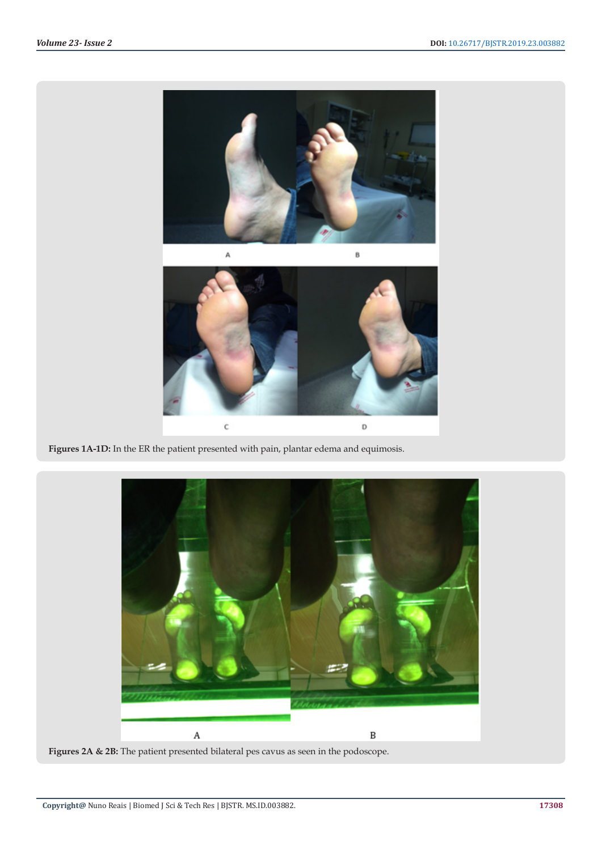

Figures 1A-1D: In the ER the patient presented with pain, plantar edema and equimosis.

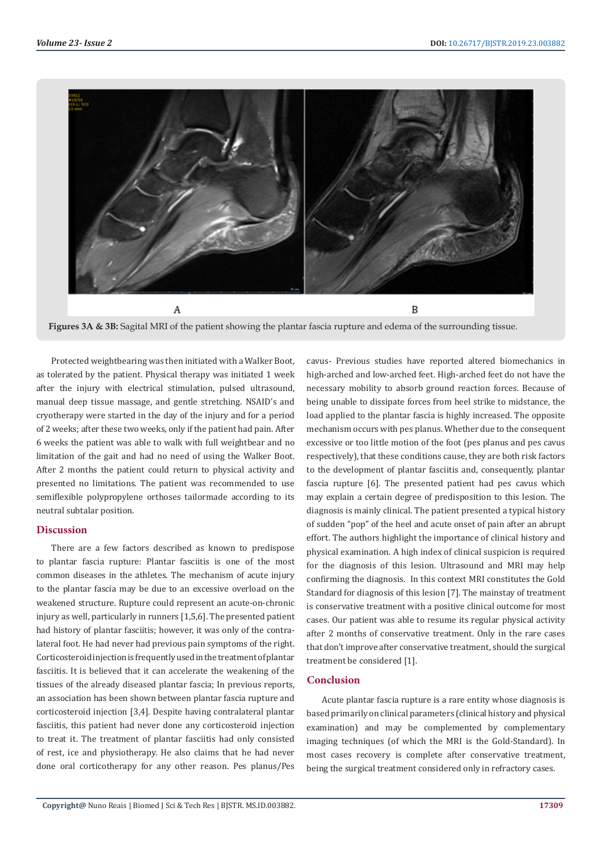

**Figures 3A & 3B:** Sagital MRI of the patient showing the plantar fascia rupture and edema of the surrounding tissue.

Protected weightbearing was then initiated with a Walker Boot, as tolerated by the patient. Physical therapy was initiated 1 week after the injury with electrical stimulation, pulsed ultrasound, manual deep tissue massage, and gentle stretching. NSAID's and cryotherapy were started in the day of the injury and for a period of 2 weeks; after these two weeks, only if the patient had pain. After 6 weeks the patient was able to walk with full weightbear and no limitation of the gait and had no need of using the Walker Boot. After 2 months the patient could return to physical activity and presented no limitations. The patient was recommended to use semiflexible polypropylene orthoses tailormade according to its neutral subtalar position.

### **Discussion**

There are a few factors described as known to predispose to plantar fascia rupture: Plantar fasciitis is one of the most common diseases in the athletes. The mechanism of acute injury to the plantar fascia may be due to an excessive overload on the weakened structure. Rupture could represent an acute-on-chronic injury as well, particularly in runners [1,5,6]. The presented patient had history of plantar fasciitis; however, it was only of the contralateral foot. He had never had previous pain symptoms of the right. Corticosteroid injection is frequently used in the treatment of plantar fasciitis. It is believed that it can accelerate the weakening of the tissues of the already diseased plantar fascia; In previous reports, an association has been shown between plantar fascia rupture and corticosteroid injection [3,4]. Despite having contralateral plantar fasciitis, this patient had never done any corticosteroid injection to treat it. The treatment of plantar fasciitis had only consisted of rest, ice and physiotherapy. He also claims that he had never done oral corticotherapy for any other reason. Pes planus/Pes cavus- Previous studies have reported altered biomechanics in high-arched and low-arched feet. High-arched feet do not have the necessary mobility to absorb ground reaction forces. Because of being unable to dissipate forces from heel strike to midstance, the load applied to the plantar fascia is highly increased. The opposite mechanism occurs with pes planus. Whether due to the consequent excessive or too little motion of the foot (pes planus and pes cavus respectively), that these conditions cause, they are both risk factors to the development of plantar fasciitis and, consequently, plantar fascia rupture [6]. The presented patient had pes cavus which may explain a certain degree of predisposition to this lesion. The diagnosis is mainly clinical. The patient presented a typical history of sudden "pop" of the heel and acute onset of pain after an abrupt effort. The authors highlight the importance of clinical history and physical examination. A high index of clinical suspicion is required for the diagnosis of this lesion. Ultrasound and MRI may help confirming the diagnosis. In this context MRI constitutes the Gold Standard for diagnosis of this lesion [7]. The mainstay of treatment is conservative treatment with a positive clinical outcome for most cases. Our patient was able to resume its regular physical activity after 2 months of conservative treatment. Only in the rare cases that don't improve after conservative treatment, should the surgical treatment be considered [1].

# **Conclusion**

Acute plantar fascia rupture is a rare entity whose diagnosis is based primarily on clinical parameters (clinical history and physical examination) and may be complemented by complementary imaging techniques (of which the MRI is the Gold-Standard). In most cases recovery is complete after conservative treatment, being the surgical treatment considered only in refractory cases.